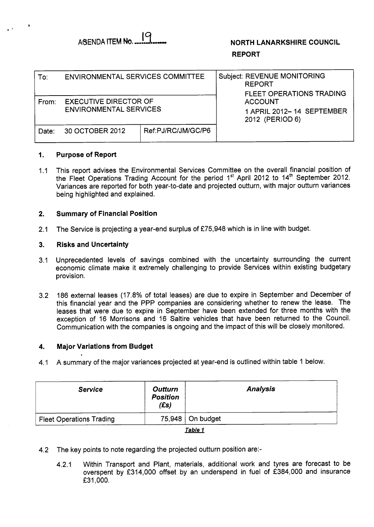

# **NORTH LANARKSHIRE COUNCIL REPORT**

| To∶   | ENVIRONMENTAL SERVICES COMMITTEE                              |                    | Subject: REVENUE MONITORING<br><b>REPORT</b><br><b>FLEET OPERATIONS TRADING</b> |  |
|-------|---------------------------------------------------------------|--------------------|---------------------------------------------------------------------------------|--|
| From: | <b>EXECUTIVE DIRECTOR OF</b><br><b>ENVIRONMENTAL SERVICES</b> |                    | <b>ACCOUNT</b><br>1 APRIL 2012-14 SEPTEMBER<br>2012 (PERIOD 6)                  |  |
| Date: | 30 OCTOBER 2012                                               | Ref:PJ/RC/JM/GC/P6 |                                                                                 |  |

#### **1. Purpose of Report**

1.1 This report advises the Environmental Services Committee on the overall financial position of the Fleet Operations Trading Account for the period 1<sup>st</sup> April 2012 to 14<sup>th</sup> September 2012. Variances are reported for both year-to-date and projected outturn, with major outturn variances being highlighted and explained.

#### **2. Summary of Financial Position**

2.1 The Service is projecting a year-end surplus of £75,948 which is in line with budget.

#### **3. Risks and Uncertainty**

- 3.1 Unprecedented levels of savings combined with the uncertainty surrounding the current economic climate make it extremely challenging to provide Services within existing budgetary provision.
- 3.2 186 external leases (17.8% of total leases) are due to expire in September and December of this financial year and the PPP companies are considering whether to renew the lease. The leases that were due to expire in September have been extended for three months with the exception of 16 Morrisons and 16 Saltire vehicles that have been returned to the Council. Communication with the companies is ongoing and the impact of this will be closely monitored.

#### **4. Major Variations from Budget**

4.1 A summary of the major variances projected at year-end is outlined within table 1 below.

| <b>Service</b>                  | <b>Outturn</b><br><b>Position</b><br>$(f_s)$ | <b>Analysis</b>    |
|---------------------------------|----------------------------------------------|--------------------|
| <b>Fleet Operations Trading</b> |                                              | $75,948$ On budget |
|                                 |                                              | $T - LI - A$       |

## <u>Table 1</u>

- 4.2 The key points to note regarding the projected outturn position are:-
	- 4.2.1 Within Transport and Plant, materials, additional work and tyres are forecast to be overspent by £314,000 offset by an underspend in fuel of £384,000 and insurance f31,OOO.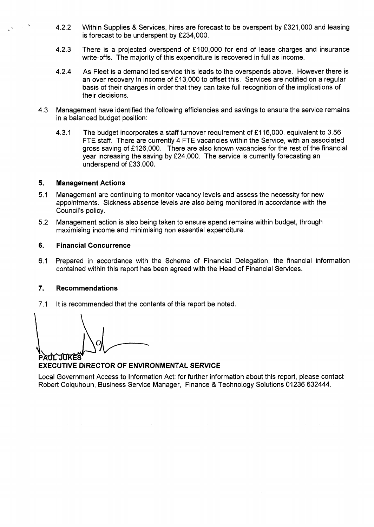- , 4.2.2 Within Supplies & Services, hires are forecast to be overspent by  $£321,000$  and leasing is forecast to be underspent by £234,000.
- 4.2.3 There is a projected overspend of  $£100,000$  for end of lease charges and insurance write-offs. The majority of this expenditure is recovered in full as income.
- 4.2.4 As Fleet is a demand led service this leads to the overspends above. However there is an over recovery in income of  $£13,000$  to offset this. Services are notified on a regular basis of their charges in order that they can take full recognition of the implications of their decisions.
- 4.3 Management have identified the following efficiencies and savings to ensure the service remains in a balanced budget position:
	- 4.3.1 The budget incorporates a staff turnover requirement of £116,000, equivalent to 3.56 FTE staff. There are currently 4 FTE vacancies within the Service, with an associated gross saving of £126,000. There are also known vacancies for the rest of the financial year increasing the saving by f24,OOO. The service is currently forecasting an underspend of £33,000.

## **5. Management Actions**

- 5.1 Management are continuing to monitor vacancy levels and assess the necessity for new appointments. Sickness absence levels are also being monitored in accordance with the Council's policy.
- Management action is also being taken to ensure spend remains within budget, through maximising income and minimising non essential expenditure. 5.2

## **6. Financial Concurrence**

6.1 Prepared in accordance with the Scheme of Financial Delegation, the financial information contained within this report has been agreed with the Head of Financial Services.

## **7. Recommendations**

7.1 It is recommended that the contents of this report be noted.

## **EXECUTIVE DIRECTOR OF ENVIRONMENTAL SERVICE**

Local Government Access to Information Act: for further information about this report, please contact Robert Colquhoun, Business Service Manager, Finance & Technology Solutions 01236 632444.